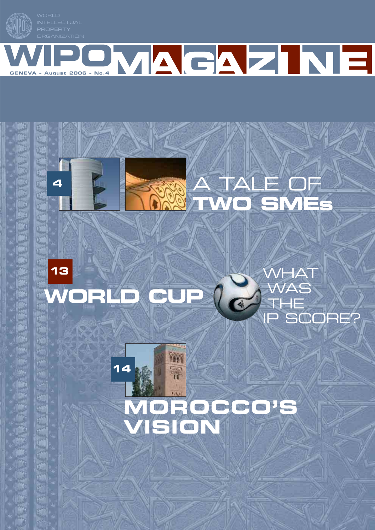**MPO** 



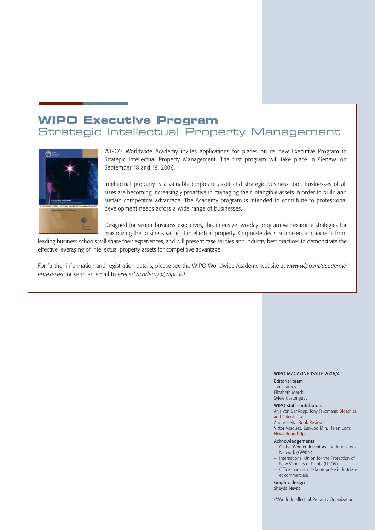## **WIPO Executive Program**

### Strategic Intellectual Property Management



WIPO's Worldwide Academy invites applications for places on its new Executive Program in Strategic Intellectual Property Management. The first program will take place in Geneva on September 18 and 19, 2006.

Intellectual property is a valuable corporate asset and strategic business tool. Businesses of all sizes are becoming increasingly proactive in managing their intangible assets in order to build and sustain competitive advantage. The Academy program is intended to contribute to professional development needs across a wide range of businesses.

Designed for senior business executives, this intensive two-day program will examine strategies for maximizing the business value of intellectual property. Corporate decision-makers and experts from

leading business schools will share their experiences, and will present case studies and industry best practices to demonstrate the effective leveraging of intellectual property assets for competitive advantage.

For further information and registration details, please see the WIPO Worldwide Academy website at *www.wipo.int/academy/ en/execed*; or send an email to *execed.academy@wipo.int*.

#### WIPO MAGAZINE ISSUE 2006/4

Editorial team John Tarpey Elizabeth March Sylvie Castonguay

WIPO staff contributors Anja Von Der Ropp, Tony Taubmann: Bioethics and Patent Law André Heitz: Book Review Victor Vasquez, Eun-Joo Min, Helen Lom: News Round Up

#### Acknowledgements

- Global Women Inventors and Innovators Network (GWIIN)
- International Union for the Protection of New Varieties of Plants (UPOV)
- Office marocain de la propriété industrielle et commerciale

Graphic design Sheyda Navab

©World Intellectual Property Organization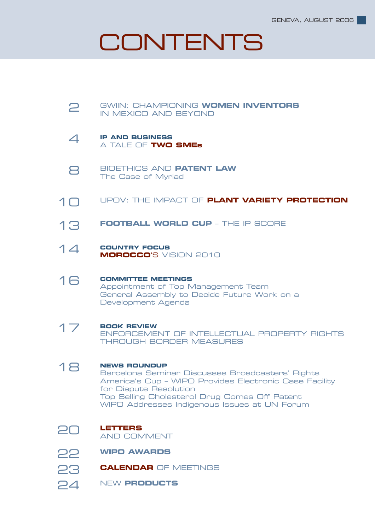# **CONTENTS**

#### GWIIN: CHAMPIONING **WOMEN INVENTORS** IN MEXICO AND BEYOND 2

- **IP AND BUSINESS** A TALE OF **TWO SMEs**  $\Delta$
- BIOETHICS AND **PATENT LAW** The Case of Myriad 8
- UPOV: THE IMPACT OF **PLANT VARIETY PROTECTION** 10
- **FOOTBALL WORLD CUP** THE IP SCORE 13
- **COUNTRY FOCUS MOROCCO**'S VISION 2010  $14$
- **COMMITTEE MEETINGS** Appointment of Top Management Team General Assembly to Decide Future Work on a Development Agenda 16
- **BOOK REVIEW** ENFORCEMENT OF INTELLECTUAL PROPERTY RIGHTS THROUGH BORDER MEASURES 17
- **NEWS ROUNDUP** Barcelona Seminar Discusses Broadcasters' Rights America's Cup – WIPO Provides Electronic Case Facility for Dispute Resolution Top Selling Cholesterol Drug Comes Off Patent WIPO Addresses Indigenous Issues at UN Forum 18
- 20
- **LETTERS** AND COMMENT
- **WIPO AWARDS** 22
- **CALENDAR** OF MEETINGS 23
- NEW **PRODUCTS**   $P<sub>4</sub>$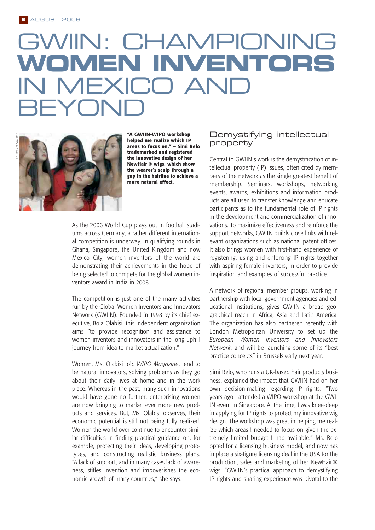# GWIIN: CHAMPIONING **WOMEN INVENTORS** IN MEXICO AND BEYOND



**"A GWIIN-WIPO workshop helped me realize which IP areas to focus on." – Simi Belo trademarked and registered the innovative design of her NewHair® wigs, which show the wearer's scalp through a gap in the hairline to achieve a more natural effect.** 

As the 2006 World Cup plays out in football stadiums across Germany, a rather different international competition is underway. In qualifying rounds in Ghana, Singapore, the United Kingdom and now Mexico City, women inventors of the world are demonstrating their achievements in the hope of being selected to compete for the global women inventors award in India in 2008.

The competition is just one of the many activities run by the Global Women Inventors and Innovators Network (GWIIN). Founded in 1998 by its chief executive, Bola Olabisi, this independent organization aims "to provide recognition and assistance to women inventors and innovators in the long uphill journey from idea to market actualization."

Women, Ms. Olabisi told *WIPO Magazine*, tend to be natural innovators, solving problems as they go about their daily lives at home and in the work place. Whereas in the past, many such innovations would have gone no further, enterprising women are now bringing to market ever more new products and services. But, Ms. Olabisi observes, their economic potential is still not being fully realized. Women the world over continue to encounter similar difficulties in finding practical guidance on, for example, protecting their ideas, developing prototypes, and constructing realistic business plans. "A lack of support, and in many cases lack of awareness, stifles invention and impoverishes the economic growth of many countries," she says.

### Demystifying intellectual property

Central to GWIIN's work is the demystification of intellectual property (IP) issues, often cited by members of the network as the single greatest benefit of membership. Seminars, workshops, networking events, awards, exhibitions and information products are all used to transfer knowledge and educate participants as to the fundamental role of IP rights in the development and commercialization of innovations. To maximize effectiveness and reinforce the support networks, GWIIN builds close links with relevant organizations such as national patent offices. It also brings women with first-hand experience of registering, using and enforcing IP rights together with aspiring female inventors, in order to provide inspiration and examples of successful practice.

A network of regional member groups, working in partnership with local government agencies and educational institutions, gives GWIIN a broad geographical reach in Africa, Asia and Latin America. The organization has also partnered recently with London Metropolitan University to set up the *European Women Inventors and Innovators Network*, and will be launching some of its "best practice concepts" in Brussels early next year.

Simi Belo, who runs a UK-based hair products business, explained the impact that GWIIN had on her own decision-making regarding IP rights: "Two years ago I attended a WIPO workshop at the GWI-IN event in Singapore. At the time, I was knee-deep in applying for IP rights to protect my innovative wig design. The workshop was great in helping me realize which areas I needed to focus on given the extremely limited budget I had available." Ms. Belo opted for a licensing business model, and now has in place a six-figure licensing deal in the USA for the production, sales and marketing of her NewHair® wigs. "GWIIN's practical approach to demystifying IP rights and sharing experience was pivotal to the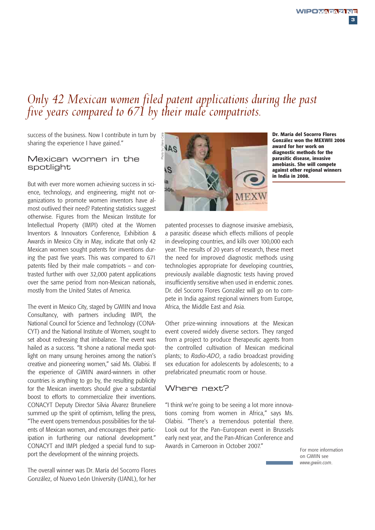**3**

### *Only 42 Mexican women filed patent applications during the past five years compared to 671 by their male compatriots.*

success of the business. Now I contribute in turn by sharing the experience I have gained."

### Mexican women in the spotlight

But with ever more women achieving success in science, technology, and engineering, might not organizations to promote women inventors have almost outlived their need? Patenting statistics suggest otherwise. Figures from the Mexican Institute for Intellectual Property (IMPI) cited at the Women Inventors & Innovators Conference, Exhibition & Awards in Mexico City in May, indicate that only 42 Mexican women sought patents for inventions during the past five years. This was compared to 671 patents filed by their male compatriots – and contrasted further with over 32,000 patent applications over the same period from non-Mexican nationals, mostly from the United States of America.

The event in Mexico City, staged by GWIIN and Inova Consultancy, with partners including IMPI, the National Council for Science and Technology (CONA-CYT) and the National Institute of Women, sought to set about redressing that imbalance. The event was hailed as a success. "It shone a national media spotlight on many unsung heroines among the nation's creative and pioneering women," said Ms. Olabisi. If the experience of GWIIN award-winners in other countries is anything to go by, the resulting publicity for the Mexican inventors should give a substantial boost to efforts to commercialize their inventions. CONACYT Deputy Director Silvia Álvarez Bruneliere summed up the spirit of optimism, telling the press, "The event opens tremendous possibilities for the talents of Mexican women, and encourages their participation in furthering our national development." CONACYT and IMPI pledged a special fund to support the development of the winning projects.

The overall winner was Dr. María del Socorro Flores González, of Nuevo León University (UANL), for her



**Dr. María del Socorro Flores González won the MEXWII 2006 award for her work on diagnostic methods for the parasitic disease, invasive amebiasis. She will compete against other regional winners in India in 2008.**

patented processes to diagnose invasive amebiasis, a parasitic disease which effects millions of people in developing countries, and kills over 100,000 each year. The results of 20 years of research, these meet the need for improved diagnostic methods using technologies appropriate for developing countries, previously available diagnostic tests having proved insufficiently sensitive when used in endemic zones. Dr. del Socorro Flores González will go on to compete in India against regional winners from Europe, Africa, the Middle East and Asia.

Other prize-winning innovations at the Mexican event covered widely diverse sectors. They ranged from a project to produce therapeutic agents from the controlled cultivation of Mexican medicinal plants; to *Radio-ADO*, a radio broadcast providing sex education for adolescents by adolescents; to a prefabricated pneumatic room or house.

### Where next?

"I think we're going to be seeing a lot more innovations coming from women in Africa," says Ms. Olabisi. "There's a tremendous potential there. Look out for the Pan–European event in Brussels early next year, and the Pan-African Conference and Awards in Cameroon in October 2007."

For more information on GWIIN see *www.gwiin.com*.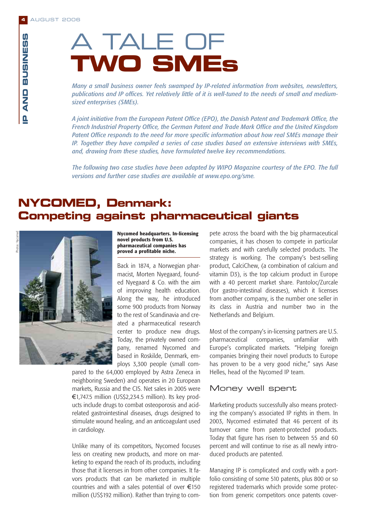# A TALE OF **TWO SMEs**

*Many a small business owner feels swamped by IP-related information from websites, newsletters, publications and IP offices. Yet relatively little of it is well-tuned to the needs of small and mediumsized enterprises (SMEs).*

*A joint initiative from the European Patent Office (EPO), the Danish Patent and Trademark Office, the French Industrial Property Office, the German Patent and Trade Mark Office and the United Kingdom Patent Office responds to the need for more specific information about how real SMEs manage their IP. Together they have compiled a series of case studies based on extensive interviews with SMEs, and, drawing from these studies, have formulated twelve key recommendations.* **Competing against pharmaceutical giants**<br> **Competiting against pharmaceutical giants**<br> **Competing against pharmack:**<br> **Competing against pharmack:**<br> **Competing against pharmaceutical giants**<br> **Competing against pharmaceut** 

*The following two case studies have been adapted by WIPO Magazine courtesy of the EPO. The full versions and further case studies are available at www.epo.org/sme.*

# **NYCOMED, Denmark:**



**Nycomed headquarters. In-licensing novel products from U.S. pharmaceutical companies has proved a profitable niche.**

Back in 1874, a Norwegian pharmacist, Morten Nyegaard, founded Nyegaard & Co. with the aim of improving health education. Along the way, he introduced some 900 products from Norway to the rest of Scandinavia and created a pharmaceutical research center to produce new drugs. Today, the privately owned company, renamed Nycomed and based in Roskilde, Denmark, employs 3,300 people (small com-

pared to the 64,000 employed by Astra Zeneca in neighboring Sweden) and operates in 20 European markets, Russia and the CIS. Net sales in 2005 were €1,747.5 million (US\$2,234.5 million). Its key products include drugs to combat osteoporosis and acidrelated gastrointestinal diseases, drugs designed to stimulate wound healing, and an anticoagulant used in cardiology.

Unlike many of its competitors, Nycomed focuses less on creating new products, and more on marketing to expand the reach of its products, including those that it licenses in from other companies. It favors products that can be marketed in multiple countries and with a sales potential of over €150 million (US\$192 million). Rather than trying to com-

pete across the board with the big pharmaceutical companies, it has chosen to compete in particular markets and with carefully selected products. The strategy is working. The company's best-selling product, CalciChew, (a combination of calcium and vitamin D3), is the top calcium product in Europe with a 40 percent market share. Pantoloc/Zurcale (for gastro-intestinal diseases), which it licenses from another company, is the number one seller in its class in Austria and number two in the Netherlands and Belgium.

Most of the company's in-licensing partners are U.S. pharmaceutical companies, unfamiliar with Europe's complicated markets. "Helping foreign companies bringing their novel products to Europe has proven to be a very good niche," says Aase Helles, head of the Nycomed IP team.

### Money well spent

Marketing products successfully also means protecting the company's associated IP rights in them. In 2003, Nycomed estimated that 46 percent of its turnover came from patent-protected products. Today that figure has risen to between 55 and 60 percent and will continue to rise as all newly introduced products are patented.

Managing IP is complicated and costly with a portfolio consisting of some 510 patents, plus 800 or so registered trademarks which provide some protection from generic competitors once patents cover-

**4**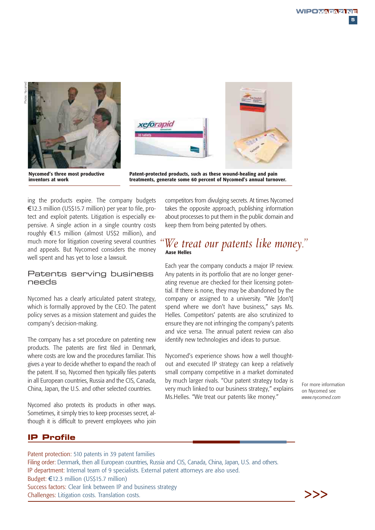

**inventors at work**



**Patent-protected products, such as these wound-healing and pain treatments, generate some 60 percent of Nycomed's annual turnover.**

ing the products expire. The company budgets €12.3 million (US\$15.7 million) per year to file, protect and exploit patents. Litigation is especially expensive. A single action in a single country costs roughly €1.5 million (almost US\$2 million), and much more for litigation covering several countries and appeals. But Nycomed considers the money well spent and has yet to lose a lawsuit.

### Patents serving business needs

Nycomed has a clearly articulated patent strategy, which is formally approved by the CEO. The patent policy serves as a mission statement and guides the company's decision-making.

The company has a set procedure on patenting new products. The patents are first filed in Denmark, where costs are low and the procedures familiar. This gives a year to decide whether to expand the reach of the patent. If so, Nycomed then typically files patents in all European countries, Russia and the CIS, Canada, China, Japan, the U.S. and other selected countries.

Nycomed also protects its products in other ways. Sometimes, it simply tries to keep processes secret, although it is difficult to prevent employees who join competitors from divulging secrets. At times Nycomed takes the opposite approach, publishing information about processes to put them in the public domain and keep them from being patented by others.

# *''We treat our patents like money.''* **Aase Helles**

Each year the company conducts a major IP review. Any patents in its portfolio that are no longer generating revenue are checked for their licensing potential. If there is none, they may be abandoned by the company or assigned to a university. "We [don't] spend where we don't have business," says Ms. Helles. Competitors' patents are also scrutinized to ensure they are not infringing the company's patents and vice versa. The annual patent review can also identify new technologies and ideas to pursue.

Nycomed's experience shows how a well thoughtout and executed IP strategy can keep a relatively small company competitive in a market dominated by much larger rivals. "Our patent strategy today is very much linked to our business strategy," explains Ms.Helles. "We treat our patents like money."

For more information on Nycomed see *www.nycomed.com*

### **IP Profile**

Patent protection: 510 patents in 39 patent families Filing order: Denmark, then all European countries, Russia and CIS, Canada, China, Japan, U.S. and others. IP department: Internal team of 9 specialists. External patent attorneys are also used. Budget: €12.3 million (US\$15.7 million) Success factors: Clear link between IP and business strategy Challenges: Litigation costs. Translation costs.

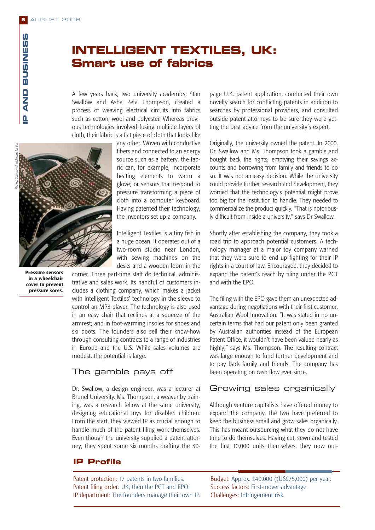asy of Intelligent Textiles

### **INTELLIGENT TEXTILES, UK: Smart use of fabrics**

A few years back, two university academics, Stan Swallow and Asha Peta Thompson, created a process of weaving electrical circuits into fabrics such as cotton, wool and polyester. Whereas previous technologies involved fusing multiple layers of cloth, their fabric is a flat piece of cloth that looks like

Photos: Courtesy of Intelligent Textiles

**Pressure sensors in a wheelchair cover to prevent pressure sores.**

any other. Woven with conductive fibers and connected to an energy source such as a battery, the fabric can, for example, incorporate heating elements to warm a glove; or sensors that respond to pressure transforming a piece of cloth into a computer keyboard. Having patented their technology, the inventors set up a company.

Intelligent Textiles is a tiny fish in a huge ocean. It operates out of a two-room studio near London, with sewing machines on the desks and a wooden loom in the

corner. Three part-time staff do technical, administrative and sales work. Its handful of customers includes a clothing company, which makes a jacket with Intelligent Textiles' technology in the sleeve to control an MP3 player. The technology is also used in an easy chair that reclines at a squeeze of the armrest; and in foot-warming insoles for shoes and ski boots. The founders also sell their know-how through consulting contracts to a range of industries in Europe and the U.S. While sales volumes are modest, the potential is large.

### The gamble pays off

Dr. Swallow, a design engineer, was a lecturer at Brunel University. Ms. Thompson, a weaver by training, was a research fellow at the same university, designing educational toys for disabled children. From the start, they viewed IP as crucial enough to handle much of the patent filing work themselves. Even though the university supplied a patent attorney, they spent some six months drafting the 30-

### **IP Profile**

Patent protection: 17 patents in two families. Patent filing order: UK, then the PCT and EPO. IP department: The founders manage their own IP. page U.K. patent application, conducted their own novelty search for conflicting patents in addition to searches by professional providers, and consulted outside patent attorneys to be sure they were getting the best advice from the university's expert.

Originally, the university owned the patent. In 2000, Dr. Swallow and Ms. Thompson took a gamble and bought back the rights, emptying their savings accounts and borrowing from family and friends to do so. It was not an easy decision. While the university could provide further research and development, they worried that the technology's potential might prove too big for the institution to handle. They needed to commercialize the product quickly. "That is notoriously difficult from inside a university," says Dr Swallow.

Shortly after establishing the company, they took a road trip to approach potential customers. A technology manager at a major toy company warned that they were sure to end up fighting for their IP rights in a court of law. Encouraged, they decided to expand the patent's reach by filing under the PCT and with the EPO.

The filing with the EPO gave them an unexpected advantage during negotiations with their first customer, Australian Wool Innovation. "It was stated in no uncertain terms that had our patent only been granted by Australian authorities instead of the European Patent Office, it wouldn't have been valued nearly as highly," says Ms. Thompson. The resulting contract was large enough to fund further development and to pay back family and friends. The company has been operating on cash flow ever since.

### Growing sales organically

Although venture capitalists have offered money to expand the company, the two have preferred to keep the business small and grow sales organically. This has meant outsourcing what they do not have time to do themselves. Having cut, sewn and tested the first 10,000 units themselves, they now out-

Budget: Approx. £40,000 ((US\$75,000) per year. Success factors: First-mover advantage. Challenges: Infringement risk.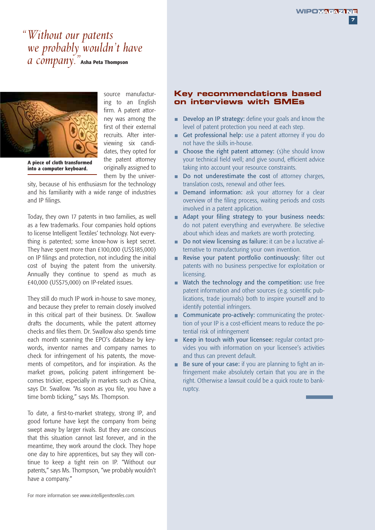**7**

### *''Without our patents we probably wouldn't have a company.''***Asha Peta Thompson**



source manufacturing to an English firm. A patent attorney was among the first of their external recruits. After interviewing six candidates, they opted for the patent attorney originally assigned to them by the univer-

**A piece of cloth transformed into a computer keyboard.**

sity, because of his enthusiasm for the technology and his familiarity with a wide range of industries and IP filings.

Today, they own 17 patents in two families, as well as a few trademarks. Four companies hold options to license Intelligent Textiles' technology. Not everything is patented; some know-how is kept secret. They have spent more than £100,000 (US\$185,000) on IP filings and protection, not including the initial cost of buying the patent from the university. Annually they continue to spend as much as £40,000 (US\$75,000) on IP-related issues.

They still do much IP work in-house to save money, and because they prefer to remain closely involved in this critical part of their business. Dr. Swallow drafts the documents, while the patent attorney checks and files them. Dr. Swallow also spends time each month scanning the EPO's database by keywords, inventor names and company names to check for infringement of his patents, the movements of competitors, and for inspiration. As the market grows, policing patent infringement becomes trickier, especially in markets such as China, says Dr. Swallow. "As soon as you file, you have a time bomb ticking," says Ms. Thompson.

To date, a first-to-market strategy, strong IP, and good fortune have kept the company from being swept away by larger rivals. But they are conscious that this situation cannot last forever, and in the meantime, they work around the clock. They hope one day to hire apprentices, but say they will continue to keep a tight rein on IP. "Without our patents," says Ms. Thompson, "we probably wouldn't have a company."

### **Key recommendations based on interviews with SMEs**

- Develop an IP strategy: define your goals and know the level of patent protection you need at each step.
- Get professional help: use a patent attorney if you do not have the skills in-house.
- **n** Choose the right patent attorney: (s)he should know your technical field well; and give sound, efficient advice taking into account your resource constraints.
- Do not underestimate the cost of attorney charges, translation costs, renewal and other fees.
- **Demand information:** ask your attorney for a clear overview of the filing process, waiting periods and costs involved in a patent application.
- Adapt your filing strategy to your business needs: do not patent everything and everywhere. Be selective about which ideas and markets are worth protecting.
- Do not view licensing as failure: it can be a lucrative alternative to manufacturing your own invention.
- Revise your patent portfolio continuously: filter out patents with no business perspective for exploitation or licensing.
- Watch the technology and the competition: use free patent information and other sources (e.g. scientific publications, trade journals) both to inspire yourself and to identify potential infringers.
- **Communicate pro-actively:** communicating the protection of your IP is a cost-efficient means to reduce the potential risk of infringement
- Keep in touch with your licensee: regular contact provides you with information on your licensee's activities and thus can prevent default.
- Be sure of your case: if you are planning to fight an infringement make absolutely certain that you are in the right. Otherwise a lawsuit could be a quick route to bankruptcy.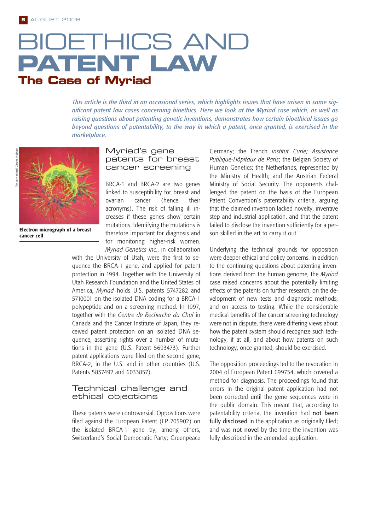# BIOETHICS AND **PA TENT LAW The Case of Myriad**

*This article is the third in an occasional series, which highlights issues that have arisen in some significant patent law cases concerning bioethics. Here we look at the Myriad case which, as well as raising questions about patenting genetic inventions, demonstrates how certain bioethical issues go beyond questions of patentability, to the way in which a patent, once granted, is exercised in the marketplace.*



**Electron micrograph of a breast cancer cell**

### Myriad's gene patents for breast cancer screening

BRCA-1 and BRCA-2 are two genes linked to susceptibility for breast and ovarian cancer (hence their acronyms). The risk of falling ill increases if these genes show certain mutations. Identifying the mutations is therefore important for diagnosis and for monitoring higher-risk women. *Myriad Genetics Inc.*, in collaboration

with the University of Utah, were the first to sequence the BRCA-1 gene, and applied for patent protection in 1994. Together with the University of Utah Research Foundation and the United States of America, *Myriad* holds U.S. patents 5747282 and 5710001 on the isolated DNA coding for a BRCA-1 polypeptide and on a screening method. In 1997, together with the *Centre de Recherche du Chul* in Canada and the Cancer Institute of Japan, they received patent protection on an isolated DNA sequence, asserting rights over a number of mutations in the gene (U.S. Patent 5693473). Further patent applications were filed on the second gene, BRCA-2, in the U.S. and in other countries (U.S. Patents 5837492 and 6033857).

### Technical challenge and ethical objections

These patents were controversial. Oppositions were filed against the European Patent (EP 705902) on the isolated BRCA-1 gene by, among others, Switzerland's Social Democratic Party; Greenpeace

Germany; the French *Institut Curie; Assistance Publique-Hôpitaux de Paris*; the Belgian Society of Human Genetics; the Netherlands, represented by the Ministry of Health; and the Austrian Federal Ministry of Social Security. The opponents challenged the patent on the basis of the European Patent Convention's patentability criteria, arguing that the claimed invention lacked novelty, inventive step and industrial application, and that the patent failed to disclose the invention sufficiently for a person skilled in the art to carry it out.

Underlying the technical grounds for opposition were deeper ethical and policy concerns. In addition to the continuing questions about patenting inventions derived from the human genome, the *Myriad* case raised concerns about the potentially limiting effects of the patents on further research, on the development of new tests and diagnostic methods, and on access to testing. While the considerable medical benefits of the cancer screening technology were not in dispute, there were differing views about how the patent system should recognize such technology, if at all, and about how patents on such technology, once granted, should be exercised.

The opposition proceedings led to the revocation in 2004 of European Patent 699754, which covered a method for diagnosis. The proceedings found that errors in the original patent application had not been corrected until the gene sequences were in the public domain. This meant that, according to patentability criteria, the invention had not been fully disclosed in the application as originally filed; and was not novel by the time the invention was fully described in the amended application.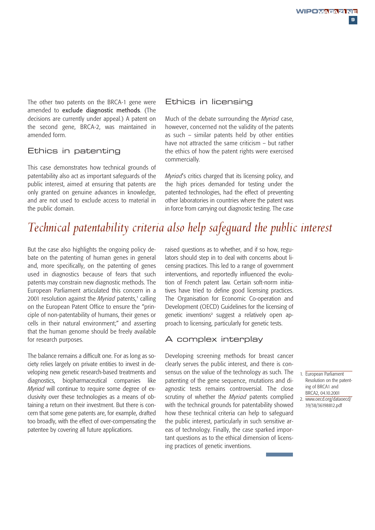The other two patents on the BRCA-1 gene were amended to exclude diagnostic methods. (The decisions are currently under appeal.) A patent on the second gene, BRCA-2, was maintained in amended form.

### Ethics in patenting

This case demonstrates how technical grounds of patentability also act as important safeguards of the public interest, aimed at ensuring that patents are only granted on genuine advances in knowledge, and are not used to exclude access to material in the public domain.

### Ethics in licensing

Much of the debate surrounding the *Myriad* case, however, concerned not the validity of the patents as such – similar patents held by other entities have not attracted the same criticism – but rather the ethics of how the patent rights were exercised commercially.

*Myriad*'s critics charged that its licensing policy, and the high prices demanded for testing under the patented technologies, had the effect of preventing other laboratories in countries where the patent was in force from carrying out diagnostic testing. The case

## *Technical patentability criteria also help safeguard the public interest*

But the case also highlights the ongoing policy debate on the patenting of human genes in general and, more specifically, on the patenting of genes used in diagnostics because of fears that such patents may constrain new diagnostic methods. The European Parliament articulated this concern in a 2001 resolution against the *Myriad* patents,<sup>1</sup> calling on the European Patent Office to ensure the "principle of non-patentability of humans, their genes or cells in their natural environment;" and asserting that the human genome should be freely available for research purposes.

The balance remains a difficult one. For as long as society relies largely on private entities to invest in developing new genetic research-based treatments and diagnostics, biopharmaceutical companies like *Myriad* will continue to require some degree of exclusivity over these technologies as a means of obtaining a return on their investment. But there is concern that some gene patents are, for example, drafted too broadly, with the effect of over-compensating the patentee by covering all future applications.

raised questions as to whether, and if so how, regulators should step in to deal with concerns about licensing practices. This led to a range of government interventions, and reportedly influenced the evolution of French patent law. Certain soft-norm initiatives have tried to define good licensing practices. The Organisation for Economic Co-operation and Development (OECD) Guidelines for the licensing of genetic inventions<sup>2</sup> suggest a relatively open approach to licensing, particularly for genetic tests.

### A complex interplay

Developing screening methods for breast cancer clearly serves the public interest, and there is consensus on the value of the technology as such. The patenting of the gene sequence, mutations and diagnostic tests remains controversial. The close scrutiny of whether the *Myriad* patents complied with the technical grounds for patentability showed how these technical criteria can help to safeguard the public interest, particularly in such sensitive areas of technology. Finally, the case sparked important questions as to the ethical dimension of licensing practices of genetic inventions.

39/38/36198812.pdf

<sup>1.</sup> European Parliament Resolution on the patenting of BRCA1 and BRCA2, 04.10.2001 2. www.oecd.org/dataoecd/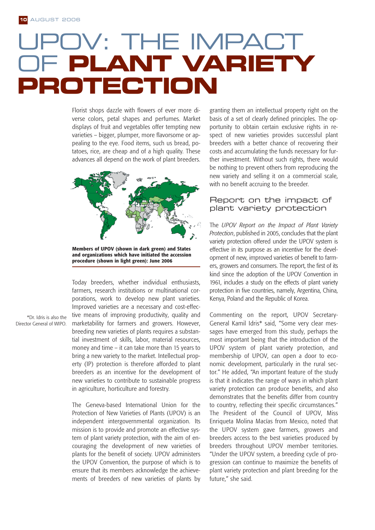# IV: THE IMPACT OF **PLANT VARIETY PROTECTION**

Florist shops dazzle with flowers of ever more diverse colors, petal shapes and perfumes. Market displays of fruit and vegetables offer tempting new varieties – bigger, plumper, more flavorsome or appealing to the eye. Food items, such us bread, potatoes, rice, are cheap and of a high quality. These advances all depend on the work of plant breeders.



**Members of UPOV (shown in dark green) and States and organizations which have initiated the accession procedure (shown in light green): June 2006**

Today breeders, whether individual enthusiasts, farmers, research institutions or multinational corporations, work to develop new plant varieties. Improved varieties are a necessary and cost-effective means of improving productivity, quality and marketability for farmers and growers. However, breeding new varieties of plants requires a substantial investment of skills, labor, material resources, money and time – it can take more than 15 years to bring a new variety to the market. Intellectual property (IP) protection is therefore afforded to plant breeders as an incentive for the development of new varieties to contribute to sustainable progress in agriculture, horticulture and forestry.

The Geneva-based International Union for the Protection of New Varieties of Plants (UPOV) is an independent intergovernmental organization. Its mission is to provide and promote an effective system of plant variety protection, with the aim of encouraging the development of new varieties of plants for the benefit of society. UPOV administers the UPOV Convention, the purpose of which is to ensure that its members acknowledge the achievements of breeders of new varieties of plants by

granting them an intellectual property right on the basis of a set of clearly defined principles. The opportunity to obtain certain exclusive rights in respect of new varieties provides successful plant breeders with a better chance of recovering their costs and accumulating the funds necessary for further investment. Without such rights, there would be nothing to prevent others from reproducing the new variety and selling it on a commercial scale, with no benefit accruing to the breeder.

### Report on the impact of plant variety protection

The *UPOV Report on the Impact of Plant Variety Protection*, published in 2005, concludes that the plant variety protection offered under the UPOV system is effective in its purpose as an incentive for the development of new, improved varieties of benefit to farmers, growers and consumers. The report, the first of its kind since the adoption of the UPOV Convention in 1961, includes a study on the effects of plant variety protection in five countries, namely, Argentina, China, Kenya, Poland and the Republic of Korea.

Commenting on the report, UPOV Secretary-General Kamil Idris\* said, "Some very clear messages have emerged from this study, perhaps the most important being that the introduction of the UPOV system of plant variety protection, and membership of UPOV, can open a door to economic development, particularly in the rural sector." He added, "An important feature of the study is that it indicates the range of ways in which plant variety protection can produce benefits, and also demonstrates that the benefits differ from country to country, reflecting their specific circumstances." The President of the Council of UPOV, Miss Enriqueta Molina Macías from Mexico, noted that the UPOV system gave farmers, growers and breeders access to the best varieties produced by breeders throughout UPOV member territories. "Under the UPOV system, a breeding cycle of progression can continue to maximize the benefits of plant variety protection and plant breeding for the future," she said.

\*Dr. Idris is also the Director General of WIPO.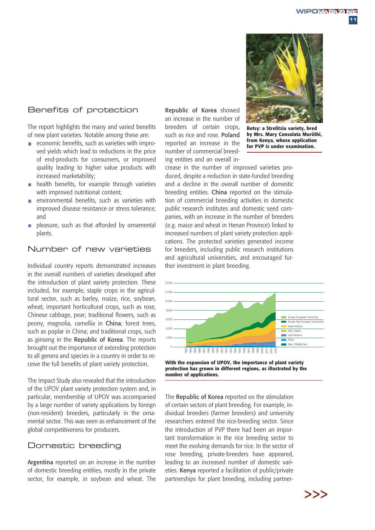**11**

### Benefits of protection

The report highlights the many and varied benefits of new plant varieties. Notable among these are:

- $\blacksquare$  economic benefits, such as varieties with improved yields which lead to reductions in the price of end-products for consumers, or improved quality leading to higher value products with increased marketability;
- health benefits, for example through varieties  $\overline{\phantom{a}}$ with improved nutritional content:
- environmental benefits, such as varieties with  $\mathcal{L}_{\mathcal{A}}$ improved disease resistance or stress tolerance; and
- pleasure, such as that afforded by ornamental n. plants.

### Number of new varieties

Individual country reports demonstrated increases in the overall numbers of varieties developed after the introduction of plant variety protection. These included, for example, staple crops in the agricultural sector, such as barley, maize, rice, soybean, wheat; important horticultural crops, such as rose, Chinese cabbage, pear; traditional flowers, such as peony, magnolia, camellia in China; forest trees, such as poplar in China; and traditional crops, such as ginseng in the Republic of Korea. The reports brought out the importance of extending protection to all genera and species in a country in order to receive the full benefits of plant variety protection.

The Impact Study also revealed that the introduction of the UPOV plant variety protection system and, in particular, membership of UPOV was accompanied by a large number of variety applications by foreign (non-resident) breeders, particularly in the ornamental sector. This was seen as enhancement of the global competitiveness for producers.

### Domestic breeding

Argentina reported on an increase in the number of domestic breeding entities, mostly in the private sector, for example, in soybean and wheat. The Republic of Korea showed an increase in the number of breeders of certain crops, such as rice and rose. Poland reported an increase in the number of commercial breeding entities and an overall in-



**Betsy: a Strelitzia variety, bred by Mrs. Mary Consolata Muriithi, from Kenya, whose application for PVP is under examination.**

crease in the number of improved varieties produced, despite a reduction in state-funded breeding and a decline in the overall number of domestic breeding entities. China reported on the stimulation of commercial breeding activities in domestic public research institutes and domestic seed companies, with an increase in the number of breeders (e.g. maize and wheat in Henan Province) linked to increased numbers of plant variety protection applications. The protected varieties generated income for breeders, including public research institutions and agricultural universities, and encouraged further investment in plant breeding.



**protection has grown in different regions, as illustrated by the number of applications.**

The Republic of Korea reported on the stimulation of certain sectors of plant breeding. For example, individual breeders (farmer breeders) and university researchers entered the rice-breeding sector. Since the introduction of PVP there had been an important transformation in the rice breeding sector to meet the evolving demands for rice. In the sector of rose breeding, private-breeders have appeared, leading to an increased number of domestic varieties. Kenya reported a facilitation of public/private partnerships for plant breeding, including partner-

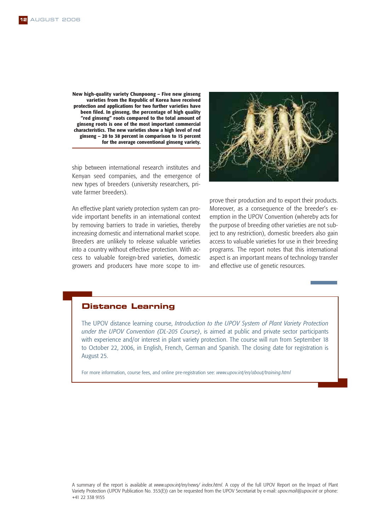**New high-quality variety Chunpoong – Five new ginseng varieties from the Republic of Korea have received protection and applications for two further varieties have been filed. In ginseng, the percentage of high quality "red ginseng" roots compared to the total amount of ginseng roots is one of the most important commercial characteristics. The new varieties show a high level of red ginseng – 20 to 38 percent in comparison to 15 percent for the average conventional ginseng variety.**

ship between international research institutes and Kenyan seed companies, and the emergence of new types of breeders (university researchers, private farmer breeders).

An effective plant variety protection system can provide important benefits in an international context by removing barriers to trade in varieties, thereby increasing domestic and international market scope. Breeders are unlikely to release valuable varieties into a country without effective protection. With access to valuable foreign-bred varieties, domestic growers and producers have more scope to im-



prove their production and to export their products. Moreover, as a consequence of the breeder's exemption in the UPOV Convention (whereby acts for the purpose of breeding other varieties are not subject to any restriction), domestic breeders also gain access to valuable varieties for use in their breeding programs. The report notes that this international aspect is an important means of technology transfer and effective use of genetic resources.

### **Distance Learning**

The UPOV distance learning course, *Introduction to the UPOV System of Plant Variety Protection under the UPOV Convention (DL-205 Course)*, is aimed at public and private sector participants with experience and/or interest in plant variety protection. The course will run from September 18 to October 22, 2006, in English, French, German and Spanish. The closing date for registration is August 25.

For more information, course fees, and online pre-registration see: *www.upov.int/en/about/training.html*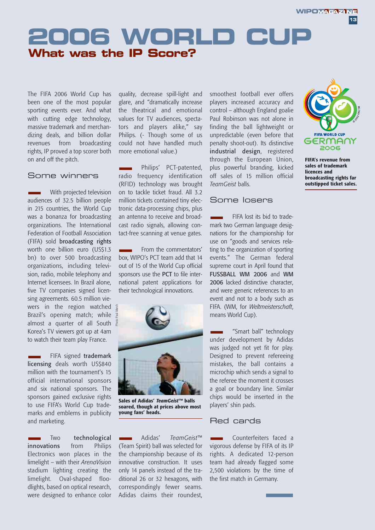**13**

# **2006 WORLD CUP What was the IP Score?**

The FIFA 2006 World Cup has been one of the most popular sporting events ever. And what with cutting edge technology, massive trademark and merchandizing deals, and billion dollar revenues from broadcasting rights, IP proved a top scorer both on and off the pitch.

### Some winners

With projected television audiences of 32.5 billion people in 215 countries, the World Cup was a bonanza for broadcasting organizations. The International Federation of Football Association (FIFA) sold broadcasting rights worth one billion euro (US\$1.3 bn) to over 500 broadcasting organizations, including television, radio, mobile telephony and Internet licensees. In Brazil alone, five TV companies signed licensing agreements. 60.5 million viewers in the region watched Brazil's opening match; while almost a quarter of all South  $\frac{5}{6}$ Korea's TV viewers got up at 4am to watch their team play France.

FIFA signed trademark licensing deals worth US\$840 million with the tournament's 15 official international sponsors and six national sponsors. The sponsors gained exclusive rights to use FIFA's World Cup trademarks and emblems in publicity and marketing.

Two technological innovations from Philips Electronics won places in the limelight – with their *ArenaVision* stadium lighting creating the limelight. Oval-shaped floodlights, based on optical research, were designed to enhance color

quality, decrease spill-light and glare, and "dramatically increase the theatrical and emotional values for TV audiences, spectators and players alike," say Philips. (- Though some of us could not have handled much more emotional value.)

Philips' PCT-patented, radio frequency identification (RFID) technology was brought on to tackle ticket fraud. All 3.2 million tickets contained tiny electronic data-processing chips, plus an antenna to receive and broadcast radio signals, allowing contact-free scanning at venue gates.

From the commentators' box, WIPO's PCT team add that 14 out of 15 of the World Cup official sponsors use the PCT to file international patent applications for their technological innovations.



**Sales of Adidas'** *TeamGeist***™ balls soared, though at prices above most young fans' heads.**

Adidas' *TeamGeist*™ (Team Spirit) ball was selected for the championship because of its innovative construction. It uses only 14 panels instead of the traditional 26 or 32 hexagons, with correspondingly fewer seams. Adidas claims their roundest,

smoothest football ever offers players increased accuracy and control – although England goalie Paul Robinson was not alone in finding the ball lightweight or unpredictable (even before that penalty shoot-out). Its distinctive industrial design, registered through the European Union, plus powerful branding, kicked off sales of 15 million official *TeamGeist* balls.

### Some losers

FIFA lost its bid to trademark two German language designations for the championship for use on "goods and services relating to the organization of sporting events." The German federal supreme court in April found that FUSSBALL WM 2006 and WM 2006 lacked distinctive character. and were generic references to an event and not to a body such as FIFA. (WM, for *Weltmeisterschaft*, means World Cup).



**FIFA's revenue from sales of trademark licences and broadcasting rights far outstipped ticket sales.**

"Smart ball" technology under development by Adidas was judged not yet fit for play. Designed to prevent refereeing mistakes, the ball contains a microchip which sends a signal to the referee the moment it crosses a goal or boundary line. Similar chips would be inserted in the players' shin pads.

### Red cards

Counterfeiters faced a vigorous defense by FIFA of its IP rights. A dedicated 12-person team had already flagged some 2,500 violations by the time of the first match in Germany.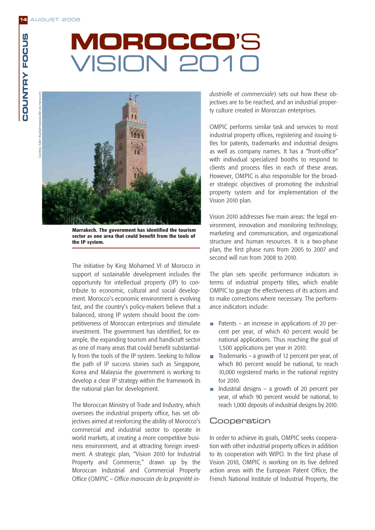# **MOROCCO**'S VISION 2010



**Marrakech. The government has identified the tourism sector as one area that could benefit from the tools of the IP system.**

The initiative by King Mohamed VI of Morocco in support of sustainable development includes the opportunity for intellectual property (IP) to contribute to economic, cultural and social development. Morocco's economic environment is evolving fast, and the country's policy-makers believe that a balanced, strong IP system should boost the competitiveness of Moroccan enterprises and stimulate investment. The government has identified, for example, the expanding tourism and handicraft sector as one of many areas that could benefit substantially from the tools of the IP system. Seeking to follow the path of IP success stories such as Singapore, Korea and Malaysia the government is working to develop a clear IP strategy within the framework its the national plan for development.

The Moroccan Ministry of Trade and Industry, which oversees the industrial property office, has set objectives aimed at reinforcing the ability of Morocco's commercial and industrial sector to operate in world markets, at creating a more competitive business environment, and at attracting foreign investment. A strategic plan, "Vision 2010 for Industrial Property and Commerce," drawn up by the Moroccan Industrial and Commercial Property Office (OMPIC – *Office marocain de la propriété in-* *dustrielle et commerciale*) sets out how these objectives are to be reached, and an industrial property culture created in Moroccan enterprises.

OMPIC performs similar task and services to most industrial property offices, registering and issuing titles for patents, trademarks and industrial designs as well as company names. It has a "front-office" with individual specialized booths to respond to clients and process files in each of these areas. However, OMPIC is also responsible for the broader strategic objectives of promoting the industrial property system and for implementation of the Vision 2010 plan.

Vision 2010 addresses five main areas: the legal environment, innovation and monitoring technology, marketing and communication, and organizational structure and human resources. It is a two-phase plan, the first phase runs from 2005 to 2007 and second will run from 2008 to 2010.

The plan sets specific performance indicators in terms of industrial property titles, which enable OMPIC to gauge the effectiveness of its actions and to make corrections where necessary. The performance indicators include:

- Patents an increase in applications of 20 percent per year, of which 40 percent would be national applications. Thus reaching the goal of 1,500 applications per year in 2010.
- Trademarks a growth of 12 percent per year, of m. which 80 percent would be national, to reach 10,000 registered marks in the national registry for 2010.
- Industrial designs a growth of 20 percent per  $\overline{\phantom{a}}$ year, of which 90 percent would be national, to reach 1,000 deposits of industrial designs by 2010.

### **Cooperation**

In order to achieve its goals, OMPIC seeks cooperation with other industrial property offices in addition to its cooperation with WIPO. In the first phase of Vision 2010, OMPIC is working on its five defined action areas with the European Patent Office, the French National Institute of Industrial Property, the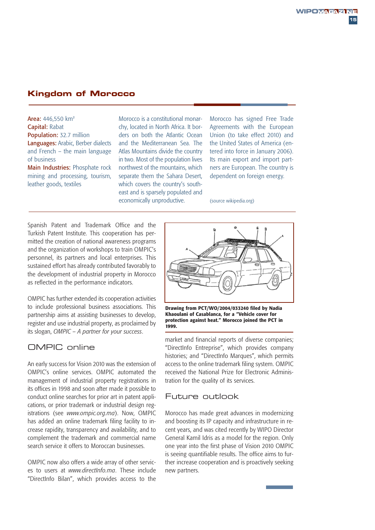### **Kingdom of Morocco**

Area: 446,550 km<sup>2</sup> Capital: Rabat Population: 32.7 million Languages: Arabic, Berber dialects and French – the main language of business Main Industries: Phosphate rock

mining and processing, tourism, leather goods, textiles

Morocco is a constitutional monarchy, located in North Africa. It borders on both the Atlantic Ocean and the Mediterranean Sea. The Atlas Mountains divide the country in two. Most of the population lives northwest of the mountains, which separate them the Sahara Desert, which covers the country's southeast and is sparsely populated and economically unproductive.

Morocco has signed Free Trade Agreements with the European Union (to take effect 2010) and the United States of America (entered into force in January 2006). Its main export and import partners are European. The country is dependent on foreign energy.

(source wikipedia.org)

Spanish Patent and Trademark Office and the Turkish Patent Institute. This cooperation has permitted the creation of national awareness programs and the organization of workshops to train OMPIC's personnel, its partners and local enterprises. This sustained effort has already contributed favorably to the development of industrial property in Morocco as reflected in the performance indicators.

OMPIC has further extended its cooperation activities to include professional business associations. This partnership aims at assisting businesses to develop, register and use industrial property, as proclaimed by its slogan, *OMPIC – A partner for your success*.

### OMPIC online

An early success for Vision 2010 was the extension of OMPIC's online services. OMPIC automated the management of industrial property registrations in its offices in 1998 and soon after made it possible to conduct online searches for prior art in patent applications, or prior trademark or industrial design registrations (see *www.ompic.org.ma*). Now, OMPIC has added an online trademark filing facility to increase rapidity, transparency and availability, and to complement the trademark and commercial name search service it offers to Moroccan businesses.

OMPIC now also offers a wide array of other services to users at *www.directInfo.ma*. These include "DirectInfo Bilan", which provides access to the



**Drawing from PCT/WO/2004/033240 filed by Nadia Khaoulani of Casablanca, for a "Vehicle cover for protection against heat." Morocco joined the PCT in 1999.**

market and financial reports of diverse companies; "DirectInfo Entreprise", which provides company histories; and "DirectInfo Marques", which permits access to the online trademark filing system. OMPIC received the National Prize for Electronic Administration for the quality of its services.

### Future outlook

Morocco has made great advances in modernizing and boosting its IP capacity and infrastructure in recent years, and was cited recently by WIPO Director General Kamil Idris as a model for the region. Only one year into the first phase of Vision 2010 OMPIC is seeing quantifiable results. The office aims to further increase cooperation and is proactively seeking new partners.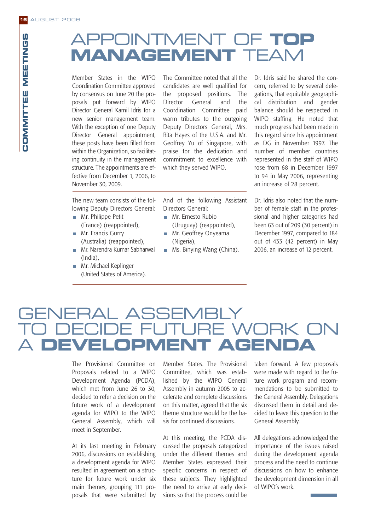# APPOINTMENT OF **TOP MANAGEMENT** TEAM

Member States in the WIPO Coordination Committee approved by consensus on June 20 the proposals put forward by WIPO Director General Kamil Idris for a new senior management team. With the exception of one Deputy Director General appointment, these posts have been filled from within the Organization, so facilitating continuity in the management structure. The appointments are effective from December 1, 2006, to November 30, 2009.

The Committee noted that all the candidates are well qualified for the proposed positions. The Director General and the Coordination Committee paid warm tributes to the outgoing Deputy Directors General, Mrs. Rita Hayes of the U.S.A. and Mr. Geoffrey Yu of Singapore, with praise for the dedication and commitment to excellence with which they served WIPO.

Dr. Idris said he shared the concern, referred to by several delegations, that equitable geographical distribution and gender balance should be respected in WIPO staffing. He noted that much progress had been made in this regard since his appointment as DG in November 1997. The number of member countries represented in the staff of WIPO rose from 68 in December 1997 to 94 in May 2006, representing an increase of 28 percent.

The new team consists of the following Deputy Directors General:

- **Mr. Philippe Petit** (France) (reappointed),
- Mr. Francis Gurry (Australia) (reappointed),
- Mr. Narendra Kumar Sabharwal (India),
- **Mr. Michael Keplinger** (United States of America).

And of the following Assistant Directors General:

- **Mr.** Ernesto Rubio (Uruguay) (reappointed),
- Mr. Geoffrey Onyeama (Nigeria),
- **Ms. Binying Wang (China).**

Dr. Idris also noted that the number of female staff in the professional and higher categories had been 63 out of 209 (30 percent) in December 1997, compared to 184 out of 433 (42 percent) in May 2006, an increase of 12 percent.

# **GENERAL ASSEMBLY** TURE WORK ON **MANAGEMMENT OF TOP INTERFERIMENT**<br> **MANAGEMMENT** TEAM<br>
Using the stars in the WF the committee noted that all the Dr. lidis sid he shared<br>
to conclusion that the committee principle in the stars of the proposed positions.

The Provisional Committee on Proposals related to a WIPO Development Agenda (PCDA), which met from June 26 to 30, decided to refer a decision on the future work of a development agenda for WIPO to the WIPO General Assembly, which will meet in September.

At its last meeting in February 2006, discussions on establishing a development agenda for WIPO resulted in agreement on a structure for future work under six main themes, grouping 111 proposals that were submitted by Member States. The Provisional Committee, which was established by the WIPO General Assembly in autumn 2005 to accelerate and complete discussions on this matter, agreed that the six theme structure would be the basis for continued discussions.

At this meeting, the PCDA discussed the proposals categorized under the different themes and Member States expressed their specific concerns in respect of these subjects. They highlighted the need to arrive at early decisions so that the process could be

taken forward. A few proposals were made with regard to the future work program and recommendations to be submitted to the General Assembly. Delegations discussed them in detail and decided to leave this question to the General Assembly.

All delegations acknowledged the importance of the issues raised during the development agenda process and the need to continue discussions on how to enhance the development dimension in all of WIPO's work.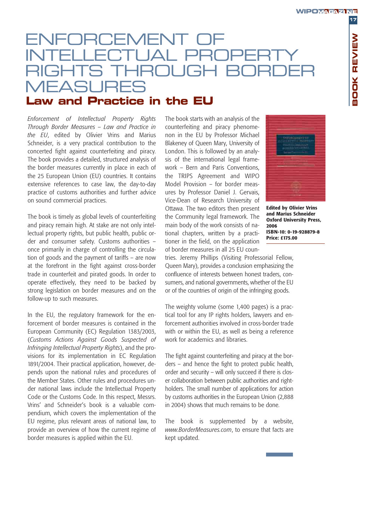# **DRCEMENT TTIJAI PROPE** ROL IGH MEASURES

### **Law and Practice in the EU**

*Enforcement of Intellectual Property Rights Through Border Measures – Law and Practice in the EU*, edited by Olivier Vrins and Marius Schneider, is a very practical contribution to the concerted fight against counterfeiting and piracy. The book provides a detailed, structured analysis of the border measures currently in place in each of the 25 European Union (EU) countries. It contains extensive references to case law, the day-to-day practice of customs authorities and further advice on sound commercial practices.

The book is timely as global levels of counterfeiting and piracy remain high. At stake are not only intellectual property rights, but public health, public order and consumer safety. Customs authorities – once primarily in charge of controlling the circulation of goods and the payment of tariffs – are now at the forefront in the fight against cross-border trade in counterfeit and pirated goods. In order to operate effectively, they need to be backed by strong legislation on border measures and on the follow-up to such measures.

In the EU, the regulatory framework for the enforcement of border measures is contained in the European Community (EC) Regulation 1383/2003, (*Customs Actions Against Goods Suspected of Infringing Intellectual Property Rights*), and the provisions for its implementation in EC Regulation 1891/2004. Their practical application, however, depends upon the national rules and procedures of the Member States. Other rules and procedures under national laws include the Intellectual Property Code or the Customs Code. In this respect, Messrs. Vrins' and Schneider's book is a valuable compendium, which covers the implementation of the EU regime, plus relevant areas of national law, to provide an overview of how the current regime of border measures is applied within the EU.

The book starts with an analysis of the counterfeiting and piracy phenomenon in the EU by Professor Michael Blakeney of Queen Mary, University of London. This is followed by an analysis of the international legal framework – Bern and Paris Conventions, the TRIPS Agreement and WIPO Model Provision – for border measures by Professor Daniel J. Gervais, Vice-Dean of Research University of Ottawa. The two editors then present the Community legal framework. The main body of the work consists of national chapters, written by a practitioner in the field, on the application of border measures in all 25 EU coun-



**Edited by Olivier Vrins and Marius Schneider Oxford University Press, 2006 ISBN-10: 0-19-928879-8 Price: £175.00**

tries. Jeremy Phillips (Visiting Professorial Fellow, Queen Mary), provides a conclusion emphasizing the confluence of interests between honest traders, consumers, and national governments, whether of the EU or of the countries of origin of the infringing goods.

The weighty volume (some 1,400 pages) is a practical tool for any IP rights holders, lawyers and enforcement authorities involved in cross-border trade with or within the EU, as well as being a reference work for academics and libraries.

The fight against counterfeiting and piracy at the borders – and hence the fight to protect public health, order and security – will only succeed if there is closer collaboration between public authorities and rightholders. The small number of applications for action by customs authorities in the European Union (2,888 in 2004) shows that much remains to be done.

The book is supplemented by a website, *www.BorderMeasures.com*, to ensure that facts are kept updated.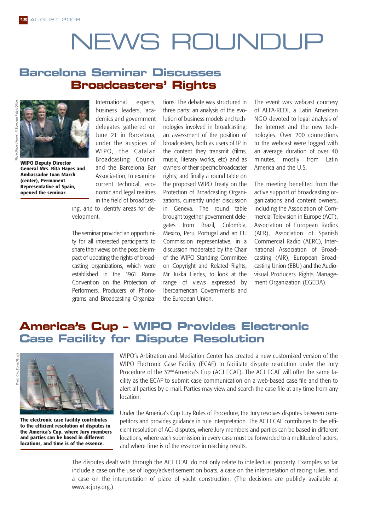# NEWS ROUNDUP

### **Barcelona Seminar Discusses Broadcasters' Rights**



**WIPO Deputy Director General Mrs. Rita Hayes and Ambassador Juan March (center), Permanent Representative of Spain, opened the seminar.**

International experts, business leaders, academics and government delegates gathered on June 21 in Barcelona, under the auspices of WIPO, the Catalan Broadcasting Council and the Barcelona Bar Associa-tion, to examine current technical, economic and legal realities in the field of broadcast-

ing, and to identify areas for development.

The seminar provided an opportunity for all interested participants to share their views on the possible impact of updating the rights of broadcasting organizations, which were established in the 1961 Rome Convention on the Protection of Performers, Producers of Phonograms and Broadcasting Organizations. The debate was structured in three parts: an analysis of the evolution of business models and technologies involved in broadcasting; an assessment of the position of broadcasters, both as users of IP in the content they transmit (films, music, literary works, etc) and as owners of their specific broadcaster rights; and finally a round table on the proposed WIPO Treaty on the Protection of Broadcasting Organizations, currently under discussion in Geneva. The round table brought together government delegates from Brazil, Colombia, Mexico, Peru, Portugal and an EU Commission representative, in a discussion moderated by the Chair of the WIPO Standing Committee on Copyright and Related Rights, Mr Jukka Liedes, to look at the range of views expressed by Iberoamerican Govern-ments and the European Union.

The event was webcast courtesy of ALFA-REDI, a Latin American NGO devoted to legal analysis of the Internet and the new technologies. Over 200 connections to the webcast were logged with an average duration of over 40 minutes, mostly from Latin America and the U.S.

The meeting benefited from the active support of broadcasting organizations and content owners, including the Association of Commercial Television in Europe (ACT), Association of European Radios (AER), Association of Spanish Commercial Radio (AERC), International Association of Broadcasting (AIR), European Broadcasting Union (EBU) and the Audiovisual Producers Rights Management Organization (EGEDA).

### **America's Cup – WIPO Provides Electronic Case Facility for Dispute Resolution**





**The electronic case facility contributes to the efficient resolution of disputes in the America's Cup, where Jury members and parties can be based in different locations, and time is of the essence.**

WIPO's Arbitration and Mediation Center has created a new customized version of the WIPO Electronic Case Facility (ECAF) to facilitate dispute resolution under the Jury Procedure of the 32<sup>nd</sup> America's Cup (ACJ ECAF). The ACJ ECAF will offer the same facility as the ECAF to submit case communication on a web-based case file and then to alert all parties by e-mail. Parties may view and search the case file at any time from any location.

Under the America's Cup Jury Rules of Procedure, the Jury resolves disputes between competitors and provides guidance in rule interpretation. The ACJ ECAF contributes to the efficient resolution of ACJ disputes, where Jury members and parties can be based in different locations, where each submission in every case must be forwarded to a multitude of actors, and where time is of the essence in reaching results.

The disputes dealt with through the ACJ ECAF do not only relate to intellectual property. Examples so far include a case on the use of logos/advertisement on boats, a case on the interpretation of racing rules, and a case on the interpretation of place of yacht construction. (The decisions are publicly available at www.acjury.org.)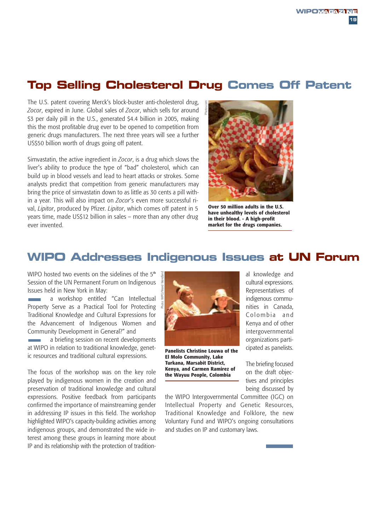### **Top Selling Cholesterol Drug Comes Off Patent**

The U.S. patent covering Merck's block-buster anti-cholesterol drug, *Zocor*, expired in June. Global sales of *Zocor*, which sells for around \$3 per daily pill in the U.S., generated \$4.4 billion in 2005, making this the most profitable drug ever to be opened to competition from generic drugs manufacturers. The next three years will see a further US\$50 billion worth of drugs going off patent.

Simvastatin, the active ingredient in *Zocor*, is a drug which slows the liver's ability to produce the type of "bad" cholesterol, which can build up in blood vessels and lead to heart attacks or strokes. Some analysts predict that competition from generic manufacturers may bring the price of simvastatin down to as little as 30 cents a pill within a year. This will also impact on *Zocor*'s even more successful rival, *Lipitor*, produced by Pfizer. *Lipitor*, which comes off patent in 5 years time, made US\$12 billion in sales – more than any other drug ever invented.



**Over 50 million adults in the U.S. have unhealthy levels of cholesterol in their blood. - A high-profit market for the drugs companies.**

### **WIPO Addresses Indigenous Issues at UN Forum**

WIPO hosted two events on the sidelines of the 5<sup>th</sup> Session of the UN Permanent Forum on Indigenous Issues held in New York in May:

a workshop entitled "Can Intellectual Property Serve as a Practical Tool for Protecting Traditional Knowledge and Cultural Expressions for the Advancement of Indigenous Women and Community Development in General?" and

a briefing session on recent developments at WIPO in relation to traditional knowledge, genetic resources and traditional cultural expressions.

The focus of the workshop was on the key role played by indigenous women in the creation and preservation of traditional knowledge and cultural expressions. Positive feedback from participants confirmed the importance of mainstreaming gender in addressing IP issues in this field. The workshop highlighted WIPO's capacity-building activities among indigenous groups, and demonstrated the wide interest among these groups in learning more about IP and its relationship with the protection of tradition-



**Panelists Christine Louwa of the El Molo Community, Lake Turkana, Marsabit District, Kenya, and Carmen Ramirez of the Wayuu People, Colombia**

al knowledge and cultural expressions. Representatives of indigenous communities in Canada, Colombia and Kenya and of other intergovernmental organizations participated as panelists.

The briefing focused on the draft objectives and principles being discussed by

the WIPO Intergovernmental Committee (IGC) on Intellectual Property and Genetic Resources, Traditional Knowledge and Folklore, the new Voluntary Fund and WIPO's ongoing consultations and studies on IP and customary laws.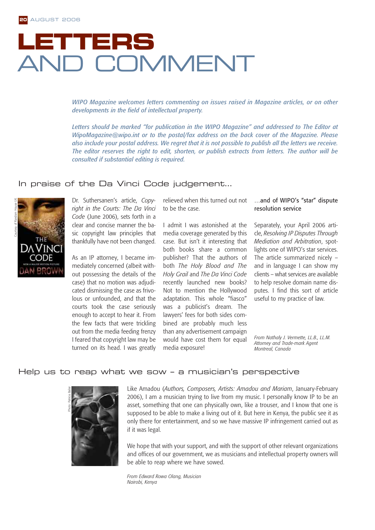# **LETTERS** AND COMMENT

*WIPO Magazine welcomes letters commenting on issues raised in Magazine articles, or on other developments in the field of intellectual property.* 

*Letters should be marked "for publication in the WIPO Magazine" and addressed to The Editor at WipoMagazine@wipo.int or to the postal/fax address on the back cover of the Magazine. Please also include your postal address. We regret that it is not possible to publish all the letters we receive. The editor reserves the right to edit, shorten, or publish extracts from letters. The author will be consulted if substantial editing is required.*

### In praise of the Da Vinci Code judgement…



Dr. Suthersanen's article, *Copyright in the Courts: The Da Vinci Code* (June 2006), sets forth in a clear and concise manner the basic copyright law principles that thankfully have not been changed.

As an IP attorney, I became immediately concerned (albeit without possessing the details of the case) that no motion was adjudicated dismissing the case as frivolous or unfounded, and that the courts took the case seriously enough to accept to hear it. From the few facts that were trickling out from the media feeding frenzy I feared that copyright law may be turned on its head. I was greatly

relieved when this turned out not to be the case.

I admit I was astonished at the media coverage generated by this case. But isn't it interesting that both books share a common publisher? That the authors of both *The Holy Blood and The Holy Grail* and *The Da Vinci Code* recently launched new books? Not to mention the Hollywood adaptation. This whole "fiasco" was a publicist's dream. The lawyers' fees for both sides combined are probably much less than any advertisement campaign would have cost them for equal media exposure!

### …and of WIPO's "star" dispute resolution service

Separately, your April 2006 article, *Resolving IP Disputes Through Mediation and Arbitration*, spotlights one of WIPO's star services. The article summarized nicely – and in language I can show my clients – what services are available to help resolve domain name disputes. I find this sort of article useful to my practice of law.

*From Nathaly J. Vermette, LL.B., LL.M. Attorney and Trade-mark Agent Montreal, Canada*

### Help us to reap what we sow – a musician's perspective



Like Amadou (*Authors, Composers, Artists: Amadou and Mariam*, January-February 2006), I am a musician trying to live from my music. I personally know IP to be an asset, something that one can physically own, like a trouser, and I know that one is supposed to be able to make a living out of it. But here in Kenya, the public see it as only there for entertainment, and so we have massive IP infringement carried out as if it was legal.

We hope that with your support, and with the support of other relevant organizations and offices of our government, we as musicians and intellectual property owners will be able to reap where we have sowed.

*From Edward Rowa Olang, Musician Nairobi, Kenya*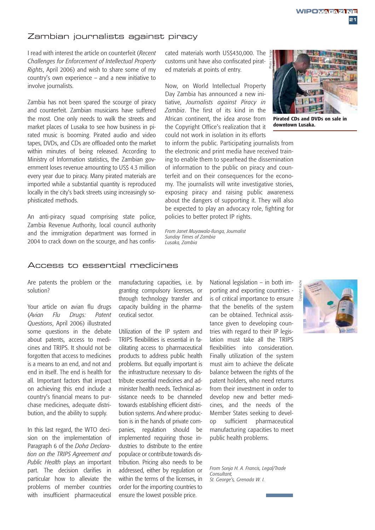**WIPOMAGAZINE** 

**21**

### Zambian journalists against piracy

I read with interest the article on counterfeit (*Recent Challenges for Enforcement of Intellectual Property Rights*, April 2006) and wish to share some of my country's own experience – and a new initiative to involve journalists.

Zambia has not been spared the scourge of piracy and counterfeit. Zambian musicians have suffered the most. One only needs to walk the streets and market places of Lusaka to see how business in pirated music is booming. Pirated audio and video tapes, DVDs, and CDs are offloaded onto the market within minutes of being released. According to Ministry of Information statistics, the Zambian government loses revenue amounting to US\$ 4.3 million every year due to piracy. Many pirated materials are imported while a substantial quantity is reproduced locally in the city's back streets using increasingly sophisticated methods.

An anti-piracy squad comprising state police, Zambia Revenue Authority, local council authority and the immigration department was formed in 2004 to crack down on the scourge, and has confiscated materials worth US\$430,000. The customs unit have also confiscated pirated materials at points of entry.

Now, on World Intellectual Property Day Zambia has announced a new initiative, *Journalists against Piracy in Zambia*. The first of its kind in the African continent, the idea arose from the Copyright Office's realization that it could not work in isolation in its efforts



*From Janet Muyawala-Ilunga, Journalist Sunday Times of Zambia Lusaka, Zambia*

### Access to essential medicines

Are patents the problem or the solution?

Your article on avian flu drugs (*Avian Flu Drugs: Patent Questions*, April 2006) illustrated some questions in the debate about patents, access to medicines and TRIPS. It should not be forgotten that access to medicines is a means to an end, and not and end in itself. The end is health for all. Important factors that impact on achieving this end include a country's financial means to purchase medicines, adequate distribution, and the ability to supply.

In this last regard, the WTO decision on the implementation of Paragraph 6 of the *Doha Declaration on the TRIPS Agreement and Public Health* plays an important part. The decision clarifies in particular how to alleviate the problems of member countries with insufficient pharmaceutical

manufacturing capacities, i.e. by granting compulsory licenses, or through technology transfer and capacity building in the pharmaceutical sector.

Utilization of the IP system and TRIPS flexibilities is essential in facilitating access to pharmaceutical products to address public health problems. But equally important is the infrastructure necessary to distribute essential medicines and administer health needs. Technical assistance needs to be channeled towards establishing efficient distribution systems. And where production is in the hands of private companies, regulation should be implemented requiring those industries to distribute to the entire populace or contribute towards distribution. Pricing also needs to be addressed, either by regulation or within the terms of the licenses, in order for the importing countries to ensure the lowest possible price.

National legislation – in both importing and exporting countries is of critical importance to ensure that the benefits of the system can be obtained. Technical assistance given to developing countries with regard to their IP legislation must take all the TRIPS flexibilities into consideration. Finally utilization of the system must aim to achieve the delicate balance between the rights of the patent holders, who need returns from their investment in order to develop new and better medicines, and the needs of the Member States seeking to develop sufficient pharmaceutical manufacturing capacities to meet public health problems.

*From Sonja H. A. Francis, Legal/Trade Consultant, St. George's, Grenada W. I.*





**Pirated CDs and DVDs on sale in downtown Lusaka.**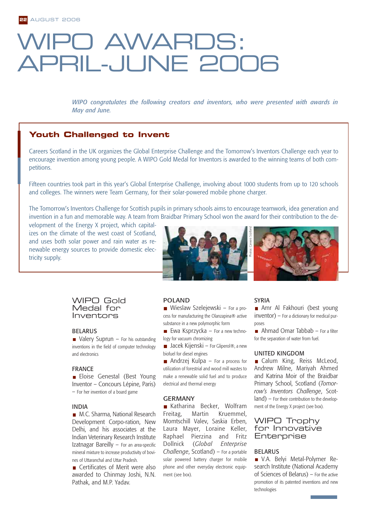# PO AWARDS: APRIL-JUNE 2006

*WIPO congratulates the following creators and inventors, who were presented with awards in May and June.*

### **Youth Challenged to Invent**

Careers Scotland in the UK organizes the Global Enterprise Challenge and the Tomorrow's Inventors Challenge each year to encourage invention among young people. A WIPO Gold Medal for Inventors is awarded to the winning teams of both competitions.

Fifteen countries took part in this year's Global Enterprise Challenge, involving about 1000 students from up to 120 schools and colleges. The winners were Team Germany, for their solar-powered mobile phone charger.

The Tomorrow's Inventors Challenge for Scottish pupils in primary schools aims to encourage teamwork, idea generation and invention in a fun and memorable way. A team from Braidbar Primary School won the award for their contribution to the de-

velopment of the Energy X project, which capitalizes on the climate of the west coast of Scotland, and uses both solar power and rain water as renewable energy sources to provide domestic electricity supply.



### WIPO Gold Medal for Inventors

### BELARUS

 $\blacksquare$  Valery Suprun – For his outstanding inventions in the field of computer technology and electronics

### FRANCE

**Eloise Genestal (Best Young** Inventor – Concours Lépine, Paris) – For her invention of a board game

### INDIA

■ M.C. Sharma, National Research Development Corpo-ration, New Delhi, and his associates at the Indian Veterinary Research Institute Izatnagar Bareilly – For an area-specific mineral mixture to increase productivity of bovines of Uttaranchal and Uttar Pradesh.

■ Certificates of Merit were also awarded to Chinmay Joshi, N.N. Pathak, and M.P. Yadav.

### POLAND

Wieslaw Szelejewski – For a process for manufacturing the Olanzapina® active substance in a new polymorphic form

Ewa Ksprzycka – For a new technology for vacuum chromizing

■ Jacek Kijenski – For Gliperol®, a new biofuel for diesel engines

Andrzej Kulpa – For a process for utilization of forestrial and wood mill wastes to make a renewable solid fuel and to produce electrical and thermal energy

### GERMANY

Katharina Becker, Wolfram Freitag, Martin Kruemmel, Momtschill Valev, Saskia Erben, Laura Mayer, Loraine Keller, Raphael Pierzina and Fritz Dollnick (*Global Enterprise Challenge*, Scotland) – For a portable solar powered battery charger for mobile phone and other everyday electronic equipment (see box).

#### SYRIA

Amr Al Fakhouri (best young inventor) – For a dictionary for medical purposes

Ahmad Omar Tabbab – For a filter for the separation of water from fuel.

#### UNITED KINGDOM

Calum King, Reiss McLeod, Andrew Milne, Mariyah Ahmed and Katrina Moir of the Braidbar Primary School, Scotland (*Tomorrow's Inventors Challenge*, Scotland) – For their contribution to the development of the Energy X project (see box).

### WIPO Trophy for Innovative **Enterprise**

#### BELARUS

V.A. Belyi Metal-Polymer Research Institute (National Academy of Sciences of Belarus) – For the active promotion of its patented inventions and new technologies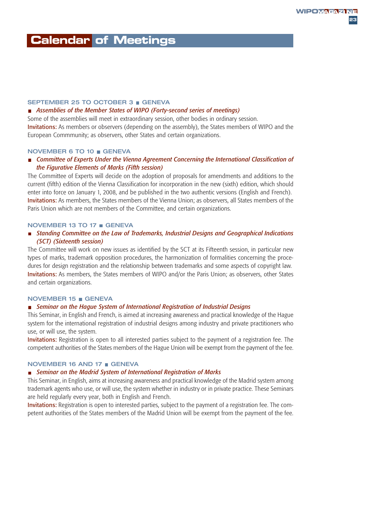### **Calendar of Meetings**

### SEPTEMBER 25 TO OCTOBER 3 GENEVA

### *Assemblies of the Member States of WIPO (Forty-second series of meetings)*

Some of the assemblies will meet in extraordinary session, other bodies in ordinary session. Invitations: As members or observers (depending on the assembly), the States members of WIPO and the European Commmunity; as observers, other States and certain organizations.

### NOVEMBER 6 TO 10 GENEVA

### *Committee of Experts Under the Vienna Agreement Concerning the International Classification of the Figurative Elements of Marks (Fifth session)*

The Committee of Experts will decide on the adoption of proposals for amendments and additions to the current (fifth) edition of the Vienna Classification for incorporation in the new (sixth) edition, which should enter into force on January 1, 2008, and be published in the two authentic versions (English and French). Invitations: As members, the States members of the Vienna Union; as observers, all States members of the Paris Union which are not members of the Committee, and certain organizations.

### NOVEMBER 13 TO 17 GENEVA

### *Standing Committee on the Law of Trademarks, Industrial Designs and Geographical Indications (SCT) (Sixteenth session)*

The Committee will work on new issues as identified by the SCT at its Fifteenth session, in particular new types of marks, trademark opposition procedures, the harmonization of formalities concerning the procedures for design registration and the relationship between trademarks and some aspects of copyright law. Invitations: As members, the States members of WIPO and/or the Paris Union; as observers, other States and certain organizations.

### NOVEMBER 15 GENEVA

### *Seminar on the Hague System of International Registration of Industrial Designs*

This Seminar, in English and French, is aimed at increasing awareness and practical knowledge of the Hague system for the international registration of industrial designs among industry and private practitioners who use, or will use, the system.

Invitations: Registration is open to all interested parties subject to the payment of a registration fee. The competent authorities of the States members of the Hague Union will be exempt from the payment of the fee.

### NOVEMBER 16 AND 17 GENEVA

#### *Seminar on the Madrid System of International Registration of Marks*

This Seminar, in English, aims at increasing awareness and practical knowledge of the Madrid system among trademark agents who use, or will use, the system whether in industry or in private practice. These Seminars are held regularly every year, both in English and French.

Invitations: Registration is open to interested parties, subject to the payment of a registration fee. The competent authorities of the States members of the Madrid Union will be exempt from the payment of the fee.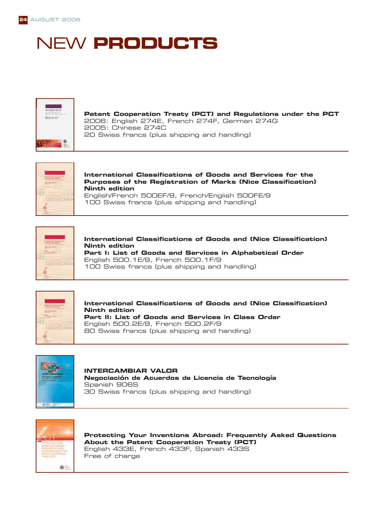# NEW **PRODUCTS**



**Patent Cooperation Treaty (PCT) and Regulations under the PCT** 2006: English 274E, French 274F, German 274G 2005: Chinese 274C 20 Swiss francs (plus shipping and handling)



**International Classifications of Goods and Services for the Purposes of the Registration of Marks (Nice Classification) Ninth edition** English/French 500EF/9, French/English 500FE/9

100 Swiss francs (plus shipping and handling)



**International Classifications of Goods and (Nice Classification) Ninth edition Part I: List of Goods and Services in Alphabetical Order** English 500.1E/9, French 500.1F/9 100 Swiss francs (plus shipping and handling)



**International Classifications of Goods and (Nice Classification) Ninth edition Part II: List of Goods and Services in Class Order** English 500.2E/9, French 500.2F/9 80 Swiss francs (plus shipping and handling)



**INTERCAMBIAR VALOR Negociación de Acuerdos de Licencia de Tecnología** Spanish 906S 30 Swiss francs (plus shipping and handling)



**Protecting Your Inventions Abroad: Frequently Asked Questions About the Patent Cooperation Treaty (PCT)** English 433E, French 433F, Spanish 433S Free of charge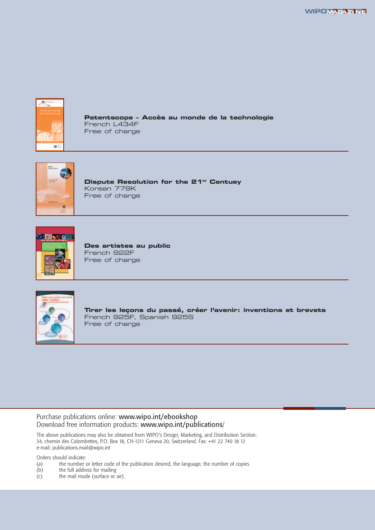

**Patentscope – Accès au monde de la technologie** French L434F Free of charge



**Dispute Resolution for the 21<sup>st</sup> Centuey** Korean 779K Free of charge



**Des artistes au public** French 922F Free of charge



**Tirer les leçons du passé, créer l'avenir: inventions et brevets** French 925F, Spanish 925S Free of charge

### Purchase publications online: www.wipo.int/ebookshop Download free information products: www.wipo.int/publications/

The above publications may also be obtained from WIPO's Design, Marketing, and Distribution Section: 34, chemin des Colombettes, P.O. Box 18, CH-1211 Geneva 20, Switzerland. Fax: +41 22 740 18 12 e-mail: publications.mail@wipo.int

Orders should indicate:

- (a) the number or letter code of the publication desired, the language, the number of copies the full address for mailing
- (b) the full address for mailing<br>(c) the mail mode (surface or  $\alpha$
- the mail mode (surface or air).